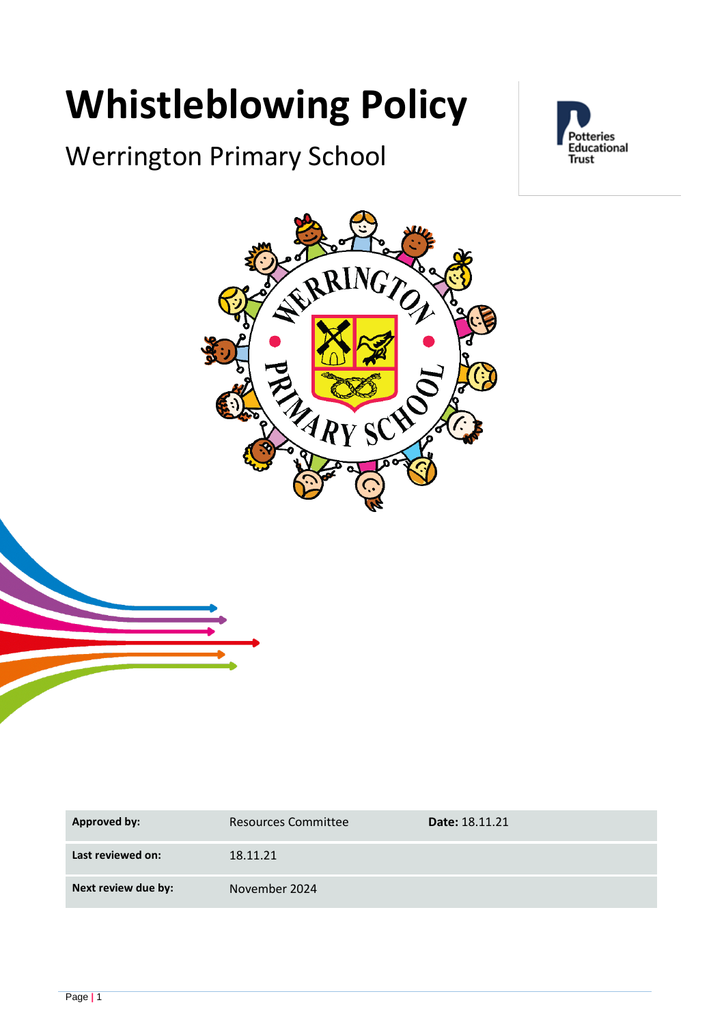# **Whistleblowing Policy**

# Werrington Primary School





| Approved by:        | <b>Resources Committee</b> | <b>Date: 18.11.21</b> |
|---------------------|----------------------------|-----------------------|
| Last reviewed on:   | 18.11.21                   |                       |
| Next review due by: | November 2024              |                       |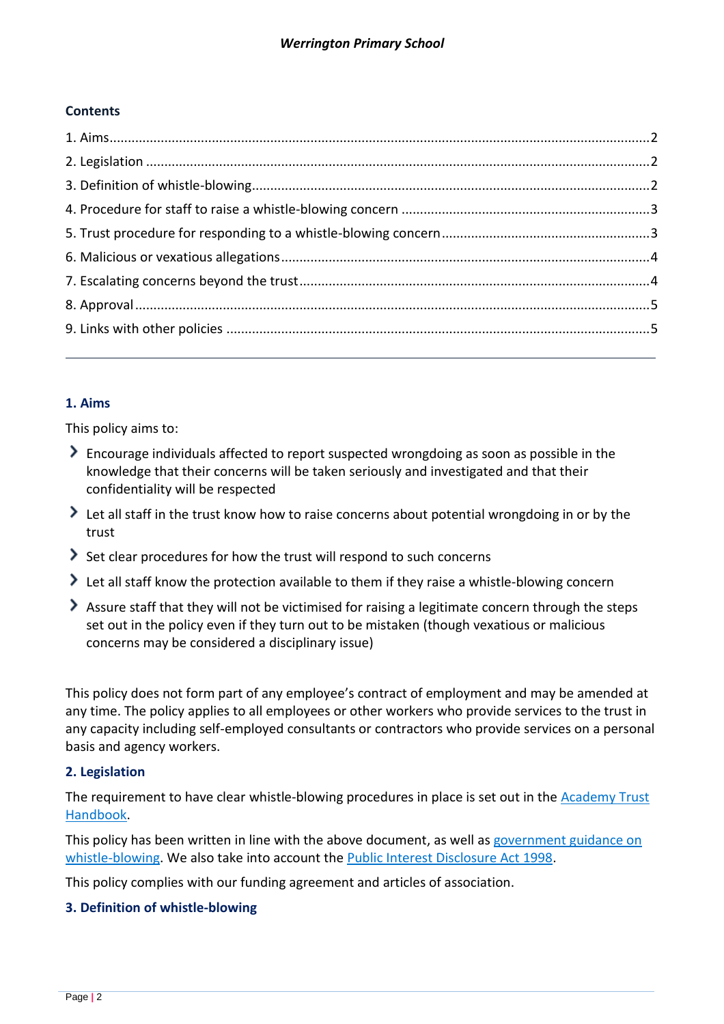#### **Contents**

## <span id="page-1-0"></span>**1. Aims**

This policy aims to:

- Encourage individuals affected to report suspected wrongdoing as soon as possible in the knowledge that their concerns will be taken seriously and investigated and that their confidentiality will be respected
- I Let all staff in the trust know how to raise concerns about potential wrongdoing in or by the trust
- Set clear procedures for how the trust will respond to such concerns
- I Let all staff know the protection available to them if they raise a whistle-blowing concern
- Assure staff that they will not be victimised for raising a legitimate concern through the steps set out in the policy even if they turn out to be mistaken (though vexatious or malicious concerns may be considered a disciplinary issue)

This policy does not form part of any employee's contract of employment and may be amended at any time. The policy applies to all employees or other workers who provide services to the trust in any capacity including self-employed consultants or contractors who provide services on a personal basis and agency workers.

#### <span id="page-1-1"></span>**2. Legislation**

The requirement to have clear whistle-blowing procedures in place is set out in the Academy Trust [Handbook.](https://www.gov.uk/guidance/academies-financial-handbook/academy-trust-handbook-2021)

This policy has been written in line with the above document, as well as government guidance on [whistle-blowing.](https://www.gov.uk/whistleblowing) We also take into account the [Public Interest Disclosure Act 1998.](https://www.legislation.gov.uk/ukpga/1998/23/contents)

This policy complies with our funding agreement and articles of association.

#### <span id="page-1-2"></span>**3. Definition of whistle-blowing**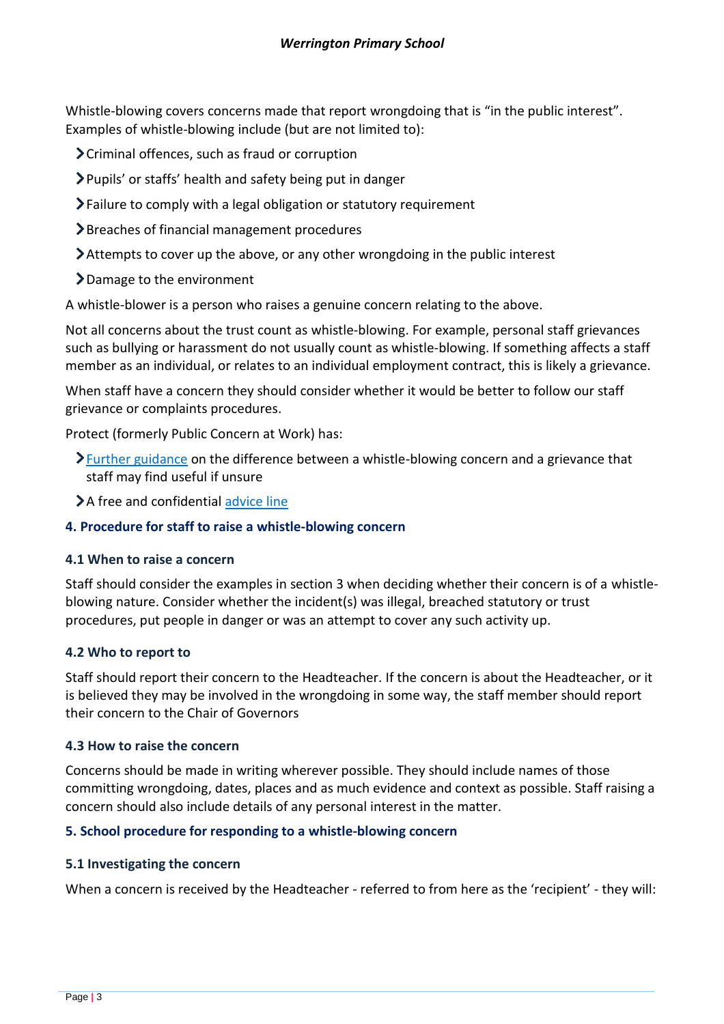Whistle-blowing covers concerns made that report wrongdoing that is "in the public interest". Examples of whistle-blowing include (but are not limited to):

Criminal offences, such as fraud or corruption

Pupils' or staffs' health and safety being put in danger

- Failure to comply with a legal obligation or statutory requirement
- Breaches of financial management procedures
- Attempts to cover up the above, or any other wrongdoing in the public interest
- Damage to the environment

A whistle-blower is a person who raises a genuine concern relating to the above.

Not all concerns about the trust count as whistle-blowing. For example, personal staff grievances such as bullying or harassment do not usually count as whistle-blowing. If something affects a staff member as an individual, or relates to an individual employment contract, this is likely a grievance.

When staff have a concern they should consider whether it would be better to follow our staff grievance or complaints procedures.

Protect (formerly Public Concern at Work) has:

- **>**[Further guidance](https://protect-advice.org.uk/what-is-the-difference-between-raising-a-grievance-and-whistleblowing/) on the difference between a whistle-blowing concern and a grievance that staff may find useful if unsure
- >A free and confidential [advice line](https://protect-advice.org.uk/contact-protect-advice-line/)

#### <span id="page-2-0"></span>**4. Procedure for staff to raise a whistle-blowing concern**

#### **4.1 When to raise a concern**

Staff should consider the examples in section 3 when deciding whether their concern is of a whistleblowing nature. Consider whether the incident(s) was illegal, breached statutory or trust procedures, put people in danger or was an attempt to cover any such activity up.

#### **4.2 Who to report to**

Staff should report their concern to the Headteacher. If the concern is about the Headteacher, or it is believed they may be involved in the wrongdoing in some way, the staff member should report their concern to the Chair of Governors

#### **4.3 How to raise the concern**

Concerns should be made in writing wherever possible. They should include names of those committing wrongdoing, dates, places and as much evidence and context as possible. Staff raising a concern should also include details of any personal interest in the matter.

#### <span id="page-2-1"></span>**5. School procedure for responding to a whistle-blowing concern**

#### **5.1 Investigating the concern**

When a concern is received by the Headteacher - referred to from here as the 'recipient' - they will: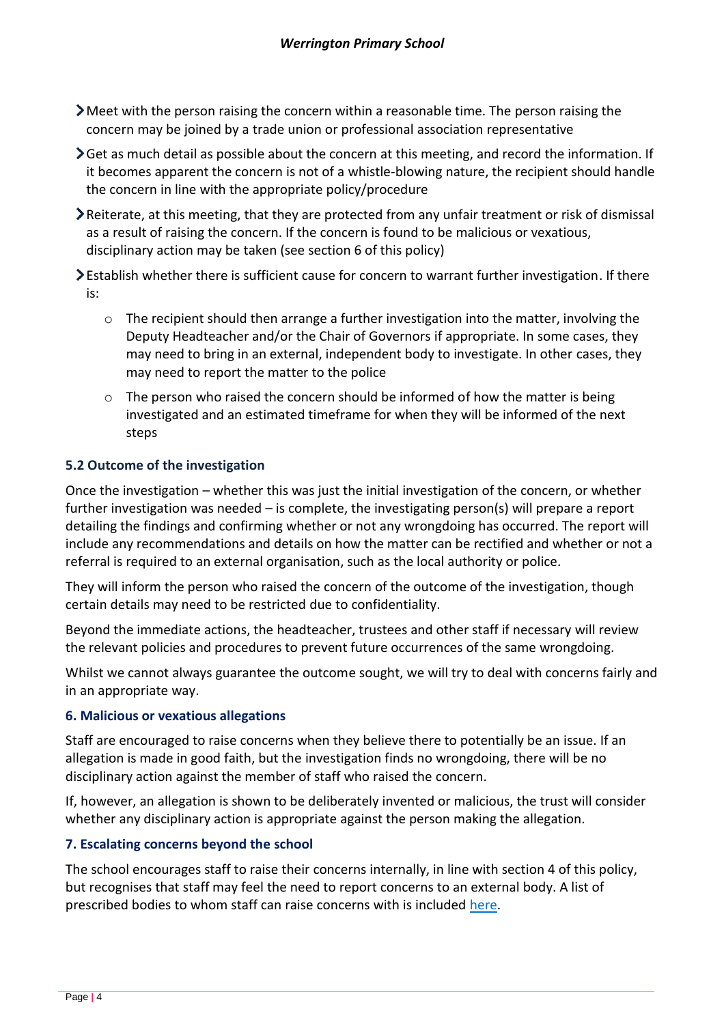- Meet with the person raising the concern within a reasonable time. The person raising the concern may be joined by a trade union or professional association representative
- $\sum$  Get as much detail as possible about the concern at this meeting, and record the information. If it becomes apparent the concern is not of a whistle-blowing nature, the recipient should handle the concern in line with the appropriate policy/procedure
- Reiterate, at this meeting, that they are protected from any unfair treatment or risk of dismissal as a result of raising the concern. If the concern is found to be malicious or vexatious, disciplinary action may be taken (see section 6 of this policy)
- Establish whether there is sufficient cause for concern to warrant further investigation. If there is:
	- o The recipient should then arrange a further investigation into the matter, involving the Deputy Headteacher and/or the Chair of Governors if appropriate. In some cases, they may need to bring in an external, independent body to investigate. In other cases, they may need to report the matter to the police
	- $\circ$  The person who raised the concern should be informed of how the matter is being investigated and an estimated timeframe for when they will be informed of the next steps

## **5.2 Outcome of the investigation**

Once the investigation – whether this was just the initial investigation of the concern, or whether further investigation was needed – is complete, the investigating person(s) will prepare a report detailing the findings and confirming whether or not any wrongdoing has occurred. The report will include any recommendations and details on how the matter can be rectified and whether or not a referral is required to an external organisation, such as the local authority or police.

They will inform the person who raised the concern of the outcome of the investigation, though certain details may need to be restricted due to confidentiality.

Beyond the immediate actions, the headteacher, trustees and other staff if necessary will review the relevant policies and procedures to prevent future occurrences of the same wrongdoing.

Whilst we cannot always guarantee the outcome sought, we will try to deal with concerns fairly and in an appropriate way.

#### <span id="page-3-0"></span>**6. Malicious or vexatious allegations**

Staff are encouraged to raise concerns when they believe there to potentially be an issue. If an allegation is made in good faith, but the investigation finds no wrongdoing, there will be no disciplinary action against the member of staff who raised the concern.

If, however, an allegation is shown to be deliberately invented or malicious, the trust will consider whether any disciplinary action is appropriate against the person making the allegation.

#### <span id="page-3-1"></span>**7. Escalating concerns beyond the school**

The school encourages staff to raise their concerns internally, in line with section 4 of this policy, but recognises that staff may feel the need to report concerns to an external body. A list of prescribed bodies to whom staff can raise concerns with is included [here.](https://www.gov.uk/government/publications/blowing-the-whistle-list-of-prescribed-people-and-bodies--2/whistleblowing-list-of-prescribed-people-and-bodies#education)